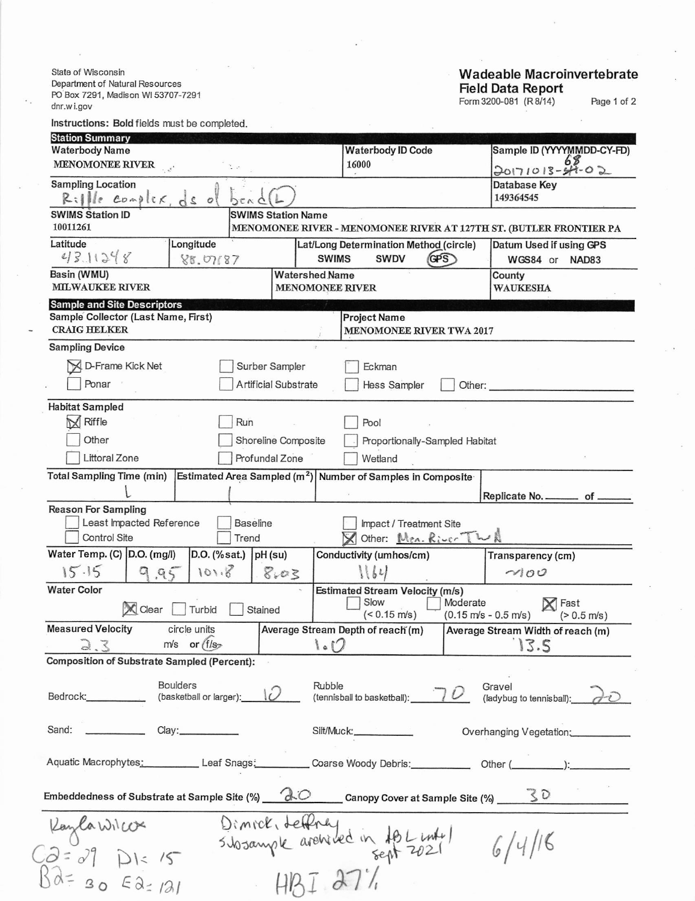State of Wisconsin Department of Natural Resources PO Box 7291, Madison WI 53707-7291 dnr.wi.gov

Instructions: Bold fields must be completed. **Station Sump** 

## Wadeable Macroinvertebrate<br>Field Data Report<br>Form 3200-081 (R8/14) Page 1 of 2

| Station Summary<br><b>Waterbody Name</b>                                                                                                          | <b>Waterbody ID Code</b>                                                       | Sample ID (YYYYMMDD-CY-FD)                |  |  |  |  |  |
|---------------------------------------------------------------------------------------------------------------------------------------------------|--------------------------------------------------------------------------------|-------------------------------------------|--|--|--|--|--|
| MENOMONEE RIVER                                                                                                                                   | 16000                                                                          | $20171013 - 6802$                         |  |  |  |  |  |
| <b>Sampling Location</b><br>Rille complex, ds of<br>DENC                                                                                          |                                                                                | Database Key<br>149364545                 |  |  |  |  |  |
| <b>SWIMS Station ID</b><br><b>SWIMS Station Name</b>                                                                                              |                                                                                |                                           |  |  |  |  |  |
| 10011261                                                                                                                                          | MENOMONEE RIVER - MENOMONEE RIVER AT 127TH ST. (BUTLER FRONTIER PA             |                                           |  |  |  |  |  |
| Latitude<br>Longitude<br>43.11248<br>88.07687                                                                                                     | Lat/Long Determination Method (circle)<br><b>SWIMS</b><br><b>SWDV</b><br>(GPS) | Datum Used if using GPS<br>WGS84 or NAD83 |  |  |  |  |  |
| Basin (WMU)<br><b>MILWAUKEE RIVER</b>                                                                                                             | <b>Watershed Name</b><br><b>MENOMONEE RIVER</b>                                | County<br><b>WAUKESHA</b>                 |  |  |  |  |  |
| <b>Sample and Site Descriptors</b>                                                                                                                |                                                                                |                                           |  |  |  |  |  |
| Sample Collector (Last Name, First)<br><b>CRAIG HELKER</b>                                                                                        | <b>Project Name</b>                                                            | <b>MENOMONEE RIVER TWA 2017</b>           |  |  |  |  |  |
| <b>Sampling Device</b>                                                                                                                            |                                                                                |                                           |  |  |  |  |  |
| A D-Frame Kick Net<br>Surber Sampler<br>Eckman                                                                                                    |                                                                                |                                           |  |  |  |  |  |
| Ponar                                                                                                                                             | <b>Artificial Substrate</b><br><b>Hess Sampler</b><br>Other:                   |                                           |  |  |  |  |  |
| <b>Habitat Sampled</b>                                                                                                                            |                                                                                |                                           |  |  |  |  |  |
| $\bowtie$<br>Riffle                                                                                                                               | Run<br>Pool                                                                    |                                           |  |  |  |  |  |
| Other                                                                                                                                             | Shoreline Composite<br>Proportionally-Sampled Habitat                          |                                           |  |  |  |  |  |
| <b>Littoral Zone</b><br>Profundal Zone                                                                                                            | Wetland                                                                        |                                           |  |  |  |  |  |
| <b>Total Sampling Time (min)</b>                                                                                                                  | Estimated Area Sampled $(m^2)$ Number of Samples in Composite                  |                                           |  |  |  |  |  |
|                                                                                                                                                   |                                                                                | Replicate No. _________ of _              |  |  |  |  |  |
| <b>Reason For Sampling</b><br>Least Impacted Reference<br><b>Baseline</b><br>Control Site<br>Trend                                                | Impact / Treatment Site<br>Other: Men. River TWA                               |                                           |  |  |  |  |  |
| Water Temp. (C) D.O. (mg/l)<br>$D.O.$ (% sat.) $pH$ (su)                                                                                          | Conductivity (umhos/cm)                                                        | Transparency (cm)                         |  |  |  |  |  |
| 15.15<br>101.8<br>9.95<br>8.03                                                                                                                    | $\left(\frac{1}{2}\right)$                                                     | 100                                       |  |  |  |  |  |
| <b>Water Color</b>                                                                                                                                | <b>Estimated Stream Velocity (m/s)</b>                                         |                                           |  |  |  |  |  |
| Moderate<br>Slow<br>X Fast<br>X Clear<br>Turbid<br>Stained<br>$($ $0.15 \text{ m/s}$ )<br>$(0.15 \text{ m/s} - 0.5 \text{ m/s})$<br>$(> 0.5$ m/s) |                                                                                |                                           |  |  |  |  |  |
| <b>Measured Velocity</b><br>circle units                                                                                                          | Average Stream Depth of reach (m)                                              | Average Stream Width of reach (m)         |  |  |  |  |  |
| $m/s$ or $(f/s)$<br>13.5<br>1.0<br>3.3                                                                                                            |                                                                                |                                           |  |  |  |  |  |
| <b>Composition of Substrate Sampled (Percent):</b>                                                                                                |                                                                                |                                           |  |  |  |  |  |
| <b>Boulders</b><br>(basketball or larger):                                                                                                        | Rubble<br>(tennisball to basketball):                                          | Gravel<br>(ladybug to tennisball):        |  |  |  |  |  |
| <b>Contract Contract Contract</b><br>Clay:___________<br>Sand:                                                                                    | Silt/Muck: _____________                                                       | Overhanging Vegetation:                   |  |  |  |  |  |
| Aquatic Macrophytes: Leaf Snags: Coarse Woody Debris: Other (Communication):                                                                      |                                                                                |                                           |  |  |  |  |  |
| Embeddedness of Substrate at Sample Site (%) $\overbrace{C}$ Canopy Cover at Sample Site (%) $\overline{S}$                                       |                                                                                |                                           |  |  |  |  |  |
|                                                                                                                                                   |                                                                                |                                           |  |  |  |  |  |
| Dimick, deffining de in 18 Links<br>Kaylawicox<br>$33 = 29$ DI= 15<br>6/4/16                                                                      |                                                                                |                                           |  |  |  |  |  |
| $\alpha = 30541$<br>H B I 271                                                                                                                     |                                                                                |                                           |  |  |  |  |  |
|                                                                                                                                                   |                                                                                |                                           |  |  |  |  |  |